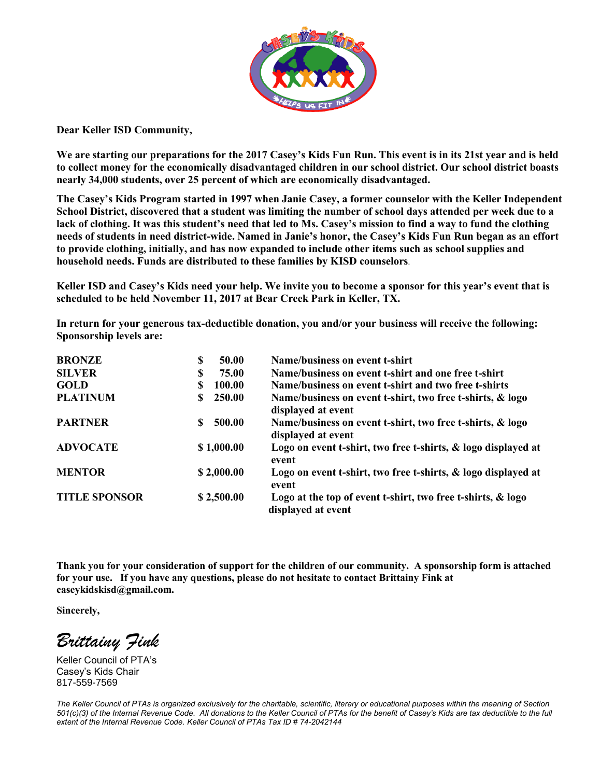

**Dear Keller ISD Community,**

**We are starting our preparations for the 2017 Casey's Kids Fun Run. This event is in its 21st year and is held to collect money for the economically disadvantaged children in our school district. Our school district boasts nearly 34,000 students, over 25 percent of which are economically disadvantaged.** 

**The Casey's Kids Program started in 1997 when Janie Casey, a former counselor with the Keller Independent School District, discovered that a student was limiting the number of school days attended per week due to a lack of clothing. It was this student's need that led to Ms. Casey's mission to find a way to fund the clothing needs of students in need district-wide. Named in Janie's honor, the Casey's Kids Fun Run began as an effort to provide clothing, initially, and has now expanded to include other items such as school supplies and household needs. Funds are distributed to these families by KISD counselors.**

**Keller ISD and Casey's Kids need your help. We invite you to become a sponsor for this year's event that is scheduled to be held November 11, 2017 at Bear Creek Park in Keller, TX.** 

**In return for your generous tax-deductible donation, you and/or your business will receive the following: Sponsorship levels are:**

| <b>BRONZE</b>        | 50.00<br>S        | Name/business on event t-shirt                                                    |
|----------------------|-------------------|-----------------------------------------------------------------------------------|
| <b>SILVER</b>        | 75.00<br><b>S</b> | Name/business on event t-shirt and one free t-shirt                               |
| <b>GOLD</b>          | 100.00            | Name/business on event t-shirt and two free t-shirts                              |
| <b>PLATINUM</b>      | 250.00            | Name/business on event t-shirt, two free t-shirts, & logo<br>displayed at event   |
| <b>PARTNER</b>       | 500.00<br>\$.     | Name/business on event t-shirt, two free t-shirts, & logo<br>displayed at event   |
| <b>ADVOCATE</b>      | \$1,000.00        | Logo on event t-shirt, two free t-shirts, & logo displayed at<br>event            |
| <b>MENTOR</b>        | \$2,000.00        | Logo on event t-shirt, two free t-shirts, & logo displayed at<br>event            |
| <b>TITLE SPONSOR</b> | \$2,500.00        | Logo at the top of event t-shirt, two free t-shirts, & logo<br>displayed at event |

**Thank you for your consideration of support for the children of our community. A sponsorship form is attached for your use. If you have any questions, please do not hesitate to contact Brittainy Fink at caseykidskisd@gmail.com.**

**Sincerely,**

*Brittainy Fink*

Keller Council of PTA's Casey's Kids Chair 817-559-7569

*The Keller Council of PTAs is organized exclusively for the charitable, scientific, literary or educational purposes within the meaning of Section 501(c)(3) of the Internal Revenue Code. All donations to the Keller Council of PTAs for the benefit of Casey's Kids are tax deductible to the full extent of the Internal Revenue Code. Keller Council of PTAs Tax ID # 74-2042144*